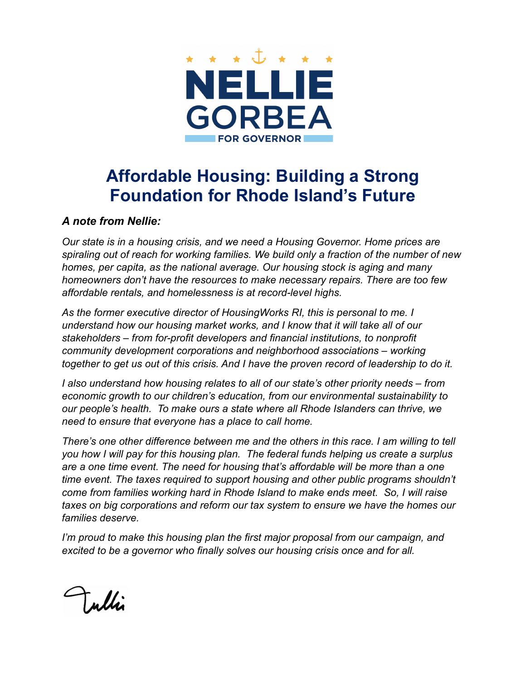

## **Affordable Housing: Building a Strong Foundation for Rhode Island's Future**

## *A note from Nellie:*

*Our state is in a housing crisis, and we need a Housing Governor. Home prices are spiraling out of reach for working families. We build only a fraction of the number of new homes, per capita, as the national average. Our housing stock is aging and many homeowners don't have the resources to make necessary repairs. There are too few affordable rentals, and homelessness is at record-level highs.*

*As the former executive director of HousingWorks RI, this is personal to me. I understand how our housing market works, and I know that it will take all of our stakeholders – from for-profit developers and financial institutions, to nonprofit community development corporations and neighborhood associations – working together to get us out of this crisis. And I have the proven record of leadership to do it.*

*I also understand how housing relates to all of our state's other priority needs – from economic growth to our children's education, from our environmental sustainability to our people's health. To make ours a state where all Rhode Islanders can thrive, we need to ensure that everyone has a place to call home.*

*There's one other difference between me and the others in this race. I am willing to tell you how I will pay for this housing plan. The federal funds helping us create a surplus are a one time event. The need for housing that's affordable will be more than a one time event. The taxes required to support housing and other public programs shouldn't come from families working hard in Rhode Island to make ends meet. So, I will raise taxes on big corporations and reform our tax system to ensure we have the homes our families deserve.*

*I'm proud to make this housing plan the first major proposal from our campaign, and excited to be a governor who finally solves our housing crisis once and for all.*

Tulli